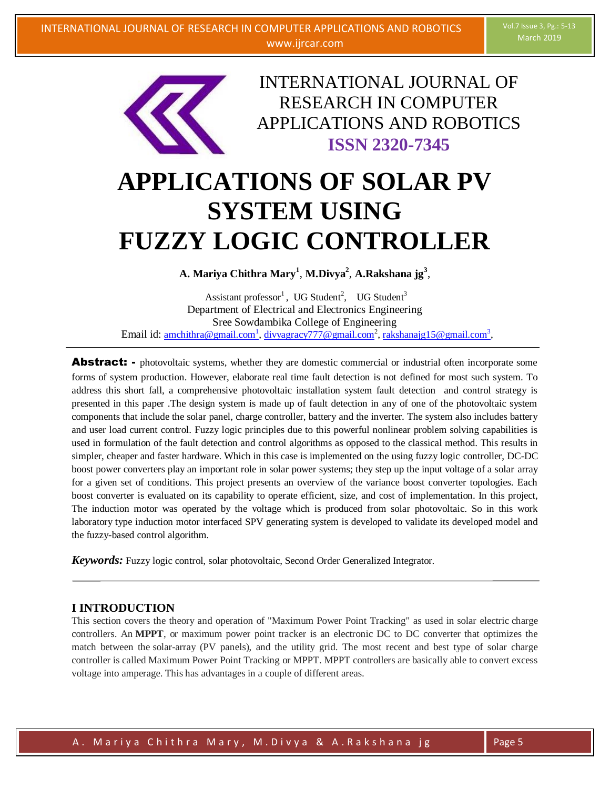

INTERNATIONAL JOURNAL OF RESEARCH IN COMPUTER APPLICATIONS AND ROBOTICS **ISSN 2320-7345**

# **APPLICATIONS OF SOLAR PV SYSTEM USING FUZZY LOGIC CONTROLLER**

**A. Mariya Chithra Mary<sup>1</sup>** , **M.Divya<sup>2</sup>** , **A.Rakshana jg<sup>3</sup>** ,

Assistant professor<sup>1</sup>, UG Student<sup>2</sup>, UG Student<sup>3</sup> Department of Electrical and Electronics Engineering Sree Sowdambika College of Engineering Email id:  $\frac{\text{amchithra@gmail.com}^1}{\text{amchithra@gmail.com}^1}$ ,  $\frac{\text{div} \text{vagracy777@gmail.com}^2}{\text{gmail.com}^2}$ ,  $\frac{\text{rakshanaig15@gmail.com}^3}{\text{gasi.com}^3}$ 

**Abstract:** - photovoltaic systems, whether they are domestic commercial or industrial often incorporate some forms of system production. However, elaborate real time fault detection is not defined for most such system. To address this short fall, a comprehensive photovoltaic installation system fault detection and control strategy is presented in this paper .The design system is made up of fault detection in any of one of the photovoltaic system components that include the solar panel, charge controller, battery and the inverter. The system also includes battery and user load current control. Fuzzy logic principles due to this powerful nonlinear problem solving capabilities is used in formulation of the fault detection and control algorithms as opposed to the classical method. This results in simpler, cheaper and faster hardware. Which in this case is implemented on the using fuzzy logic controller, DC-DC boost power converters play an important role in solar power systems; they step up the input voltage of a solar array for a given set of conditions. This project presents an overview of the variance boost converter topologies. Each boost converter is evaluated on its capability to operate efficient, size, and cost of implementation. In this project, The induction motor was operated by the voltage which is produced from solar photovoltaic. So in this work laboratory type induction motor interfaced SPV generating system is developed to validate its developed model and the fuzzy-based control algorithm.

*Keywords:* Fuzzy logic control, solar photovoltaic, Second Order Generalized Integrator.

## **I INTRODUCTION**

This section covers the theory and operation of "Maximum Power Point Tracking" as used in solar electric charge controllers. An **MPPT**, or maximum power point tracker is an electronic DC to DC converter that optimizes the match between the solar-array (PV panels), and the utility grid. The most recent and best type of solar charge controller is called Maximum Power Point Tracking or MPPT. MPPT controllers are basically able to convert excess voltage into amperage. This has advantages in a couple of different areas.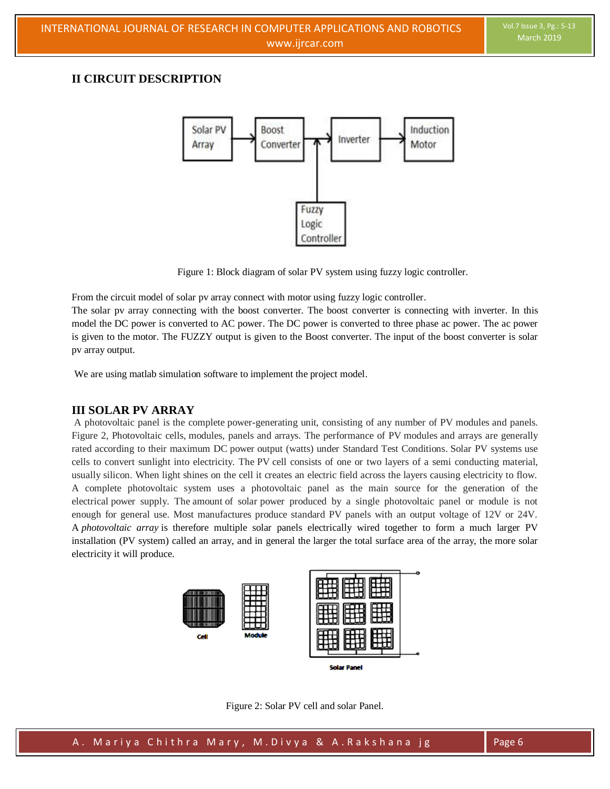## **II CIRCUIT DESCRIPTION**



Figure 1: Block diagram of solar PV system using fuzzy logic controller.

From the circuit model of solar pv array connect with motor using fuzzy logic controller.

The solar pv array connecting with the boost converter. The boost converter is connecting with inverter. In this model the DC power is converted to AC power. The DC power is converted to three phase ac power. The ac power is given to the motor. The FUZZY output is given to the Boost converter. The input of the boost converter is solar pv array output.

We are using matlab simulation software to implement the project model.

## **III SOLAR PV ARRAY**

A photovoltaic panel is the complete power-generating unit, consisting of any number of PV modules and panels. Figure 2, Photovoltaic cells, modules, panels and arrays. The performance of PV modules and arrays are generally rated according to their maximum DC power output (watts) under Standard Test Conditions. Solar PV systems use cells to convert sunlight into electricity. The PV cell consists of one or two layers of a semi conducting material, usually silicon. When light shines on the cell it creates an electric field across the layers causing electricity to flow. A complete photovoltaic system uses a photovoltaic panel as the main source for the generation of the electrical power supply. The amount of solar power produced by a single photovoltaic panel or module is not enough for general use. Most manufactures produce standard PV panels with an output voltage of 12V or 24V. A *photovoltaic array* is therefore multiple solar panels electrically wired together to form a much larger PV installation (PV system) called an array, and in general the larger the total surface area of the array, the more solar electricity it will produce.



Figure 2: Solar PV cell and solar Panel.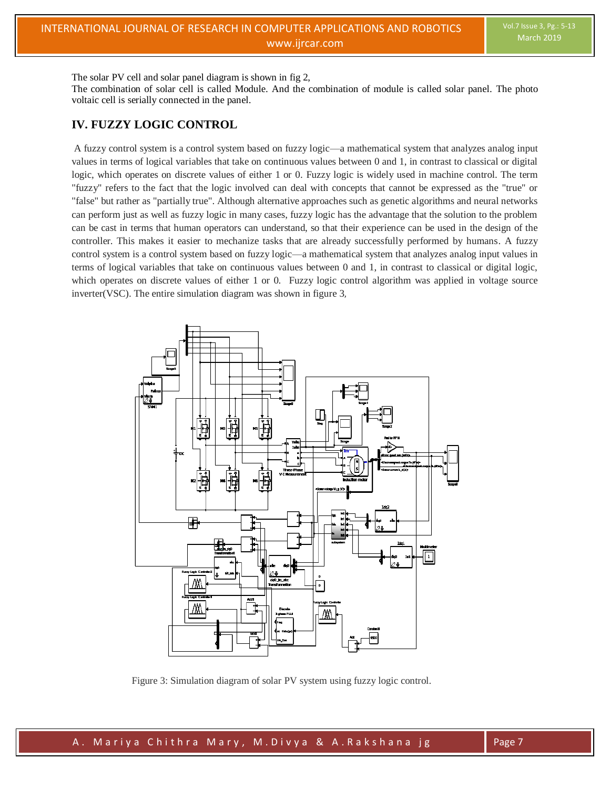The solar PV cell and solar panel diagram is shown in fig 2,

The combination of solar cell is called Module. And the combination of module is called solar panel. The photo voltaic cell is serially connected in the panel.

## **IV. FUZZY LOGIC CONTROL**

A fuzzy control system is a control system based on fuzzy logic—a mathematical system that analyzes analog input values in terms of logical variables that take on continuous values between 0 and 1, in contrast to classical or digital logic, which operates on discrete values of either 1 or 0. Fuzzy logic is widely used in machine control. The term "fuzzy" refers to the fact that the logic involved can deal with concepts that cannot be expressed as the "true" or "false" but rather as "partially true". Although alternative approaches such as genetic algorithms and neural networks can perform just as well as fuzzy logic in many cases, fuzzy logic has the advantage that the solution to the problem can be cast in terms that human operators can understand, so that their experience can be used in the design of the controller. This makes it easier to mechanize tasks that are already successfully performed by humans. A fuzzy control system is a control system based on fuzzy logic—a mathematical system that analyzes analog input values in terms of logical variables that take on continuous values between 0 and 1, in contrast to classical or digital logic, which operates on discrete values of either 1 or 0. Fuzzy logic control algorithm was applied in voltage source inverter(VSC). The entire simulation diagram was shown in figure 3,



Figure 3: Simulation diagram of solar PV system using fuzzy logic control.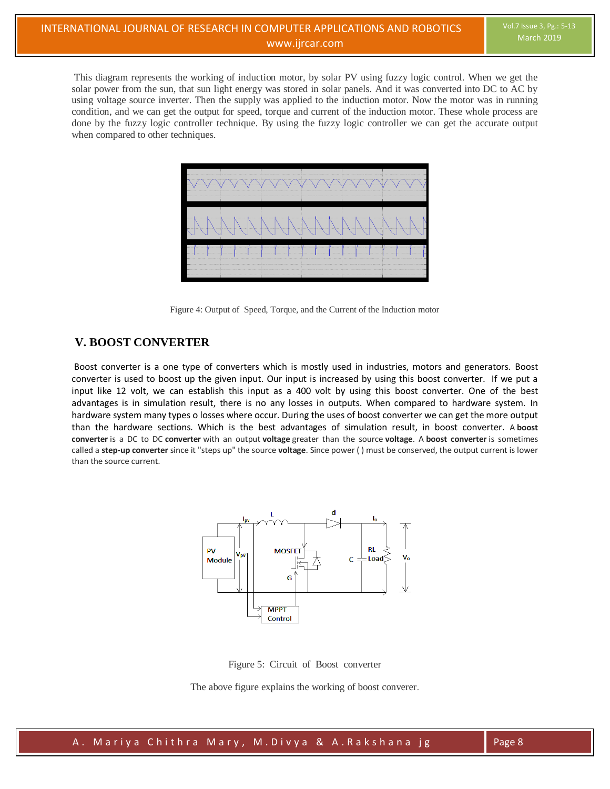This diagram represents the working of induction motor, by solar PV using fuzzy logic control. When we get the solar power from the sun, that sun light energy was stored in solar panels. And it was converted into DC to AC by using voltage source inverter. Then the supply was applied to the induction motor. Now the motor was in running condition, and we can get the output for speed, torque and current of the induction motor. These whole process are done by the fuzzy logic controller technique. By using the fuzzy logic controller we can get the accurate output when compared to other techniques.



Figure 4: Output of Speed, Torque, and the Current of the Induction motor

# **V. BOOST CONVERTER**

Boost converter is a one type of converters which is mostly used in industries, motors and generators. Boost converter is used to boost up the given input. Our input is increased by using this boost converter. If we put a input like 12 volt, we can establish this input as a 400 volt by using this boost converter. One of the best advantages is in simulation result, there is no any losses in outputs. When compared to hardware system. In hardware system many types o losses where occur. During the uses of boost converter we can get the more output than the hardware sections. Which is the best advantages of simulation result, in boost converter. A **boost converter** is a DC to DC **converter** with an output **voltage** greater than the source **voltage**. A **boost converter** is sometimes called a **step-up converter** since it "steps up" the source **voltage**. Since power ( ) must be conserved, the output current is lower than the source current.



Figure 5: Circuit of Boost converter

The above figure explains the working of boost converer.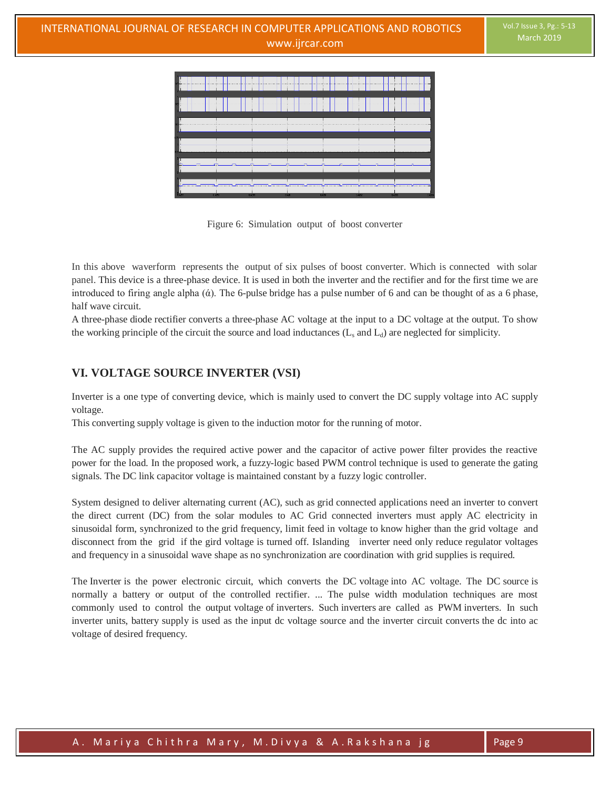



In this above waverform represents the output of six pulses of boost converter. Which is connected with solar panel. This device is a three-phase device. It is used in both the inverter and the rectifier and for the first time we are introduced to firing angle alpha  $(\dot{\alpha})$ . The 6-pulse bridge has a pulse number of 6 and can be thought of as a 6 phase, half wave circuit.

A three-phase diode rectifier converts a three-phase AC voltage at the input to a DC voltage at the output. To show the working principle of the circuit the source and load inductances  $(L_s$  and  $L_d$ ) are neglected for simplicity.

# **VI. VOLTAGE SOURCE INVERTER (VSI)**

Inverter is a one type of converting device, which is mainly used to convert the DC supply voltage into AC supply voltage.

This converting supply voltage is given to the induction motor for the running of motor.

The AC supply provides the required active power and the capacitor of active power filter provides the reactive power for the load. In the proposed work, a fuzzy-logic based PWM control technique is used to generate the gating signals. The DC link capacitor voltage is maintained constant by a fuzzy logic controller.

System designed to deliver alternating current (AC), such as grid connected applications need an inverter to convert the direct current (DC) from the solar modules to AC Grid connected inverters must apply AC electricity in sinusoidal form, synchronized to the grid frequency, limit feed in voltage to know higher than the grid voltage and disconnect from the grid if the gird voltage is turned off. Islanding inverter need only reduce regulator voltages and frequency in a sinusoidal wave shape as no synchronization are coordination with grid supplies is required.

The Inverter is the power electronic circuit, which converts the DC voltage into AC voltage. The DC source is normally a battery or output of the controlled rectifier. ... The pulse width modulation techniques are most commonly used to control the output voltage of inverters. Such inverters are called as PWM inverters. In such inverter units, battery supply is used as the input dc voltage source and the inverter circuit converts the dc into ac voltage of desired frequency.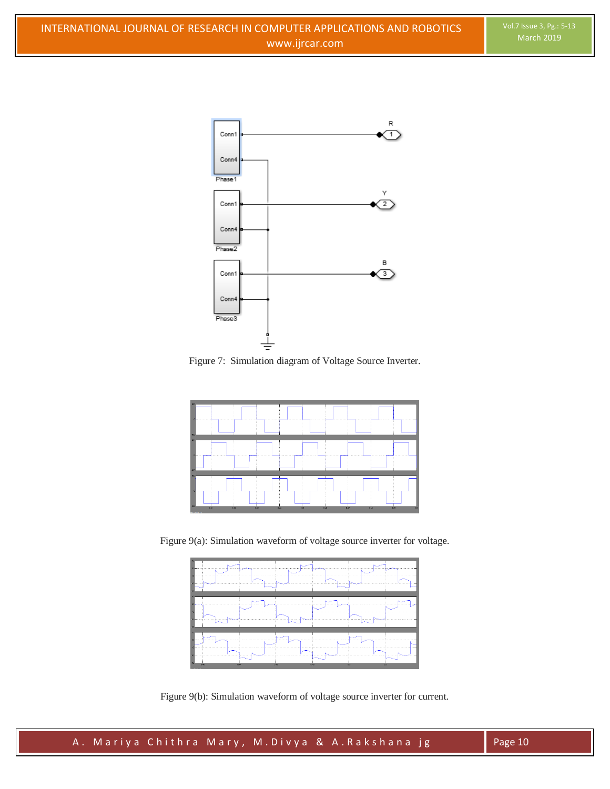





Figure 9(a): Simulation waveform of voltage source inverter for voltage.



Figure 9(b): Simulation waveform of voltage source inverter for current.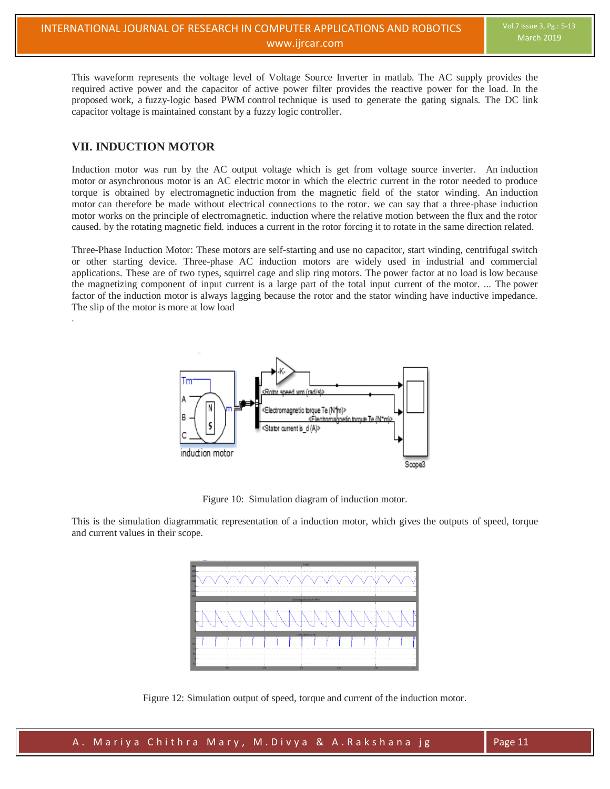This waveform represents the voltage level of Voltage Source Inverter in matlab. The AC supply provides the required active power and the capacitor of active power filter provides the reactive power for the load. In the proposed work, a fuzzy-logic based PWM control technique is used to generate the gating signals. The DC link capacitor voltage is maintained constant by a fuzzy logic controller.

## **VII. INDUCTION MOTOR**

.

Induction motor was run by the AC output voltage which is get from voltage source inverter. An induction motor or asynchronous motor is an AC electric motor in which the electric current in the rotor needed to produce torque is obtained by electromagnetic induction from the magnetic field of the stator winding. An induction motor can therefore be made without electrical connections to the rotor. we can say that a three-phase induction motor works on the principle of electromagnetic. induction where the relative motion between the flux and the rotor caused. by the rotating magnetic field. induces a current in the rotor forcing it to rotate in the same direction related.

Three-Phase Induction Motor: These motors are self-starting and use no capacitor, start winding, centrifugal switch or other starting device. Three-phase AC induction motors are widely used in industrial and commercial applications. These are of two types, squirrel cage and slip ring motors. The power factor at no load is low because the magnetizing component of input current is a large part of the total input current of the motor. ... The power factor of the induction motor is always lagging because the rotor and the stator winding have inductive impedance. The slip of the motor is more at low load



Figure 10: Simulation diagram of induction motor.

This is the simulation diagrammatic representation of a induction motor, which gives the outputs of speed, torque and current values in their scope.



Figure 12: Simulation output of speed, torque and current of the induction motor.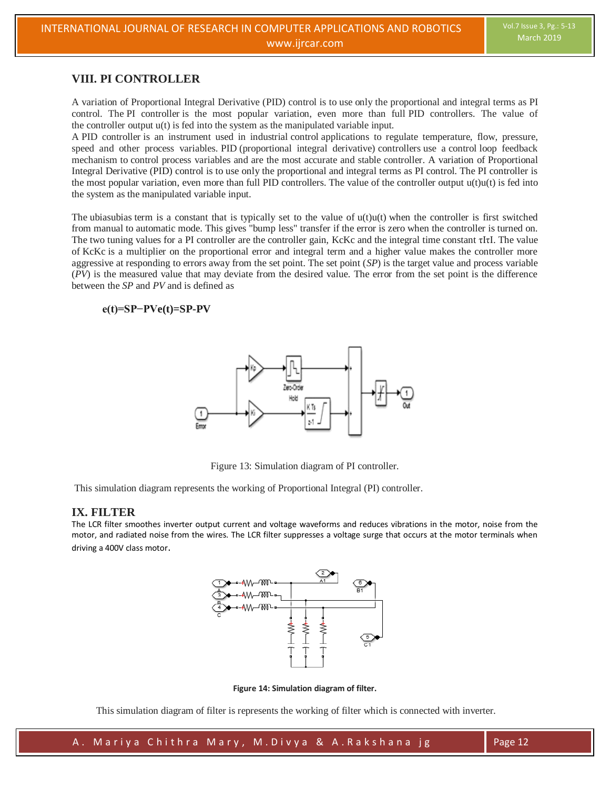## **VIII. PI CONTROLLER**

A variation of Proportional Integral Derivative (PID) control is to use only the proportional and integral terms as PI control. The PI controller is the most popular variation, even more than full PID controllers. The value of the controller output u(t) is fed into the system as the manipulated variable input.

A PID controller is an instrument used in industrial control applications to regulate temperature, flow, pressure, speed and other process variables. PID (proportional integral derivative) controllers use a control loop feedback mechanism to control process variables and are the most accurate and stable controller. A variation of Proportional Integral Derivative (PID) control is to use only the proportional and integral terms as PI control. The PI controller is the most popular variation, even more than full PID controllers. The value of the controller output  $u(t)u(t)$  is fed into the system as the manipulated variable input.

The ubiasubias term is a constant that is typically set to the value of  $u(t)u(t)$  when the controller is first switched from manual to automatic mode. This gives "bump less" transfer if the error is zero when the controller is turned on. The two tuning values for a PI controller are the controller gain, KcKc and the integral time constant τIτI. The value of KcKc is a multiplier on the proportional error and integral term and a higher value makes the controller more aggressive at responding to errors away from the set point. The set point (*SP*) is the target value and process variable (*PV*) is the measured value that may deviate from the desired value. The error from the set point is the difference between the *SP* and *PV* and is defined as

## **e(t)=SP−PVe(t)=SP-PV**



Figure 13: Simulation diagram of PI controller.

This simulation diagram represents the working of Proportional Integral (PI) controller.

## **IX. FILTER**

The LCR filter smoothes inverter output current and voltage waveforms and reduces vibrations in the motor, noise from the motor, and radiated noise from the wires. The LCR filter suppresses a voltage surge that occurs at the motor terminals when driving a 400V class motor.



**Figure 14: Simulation diagram of filter.**

This simulation diagram of filter is represents the working of filter which is connected with inverter.

'A. Mariya Chithra Mary, M.Divya & A.Rakshana jg Page 12